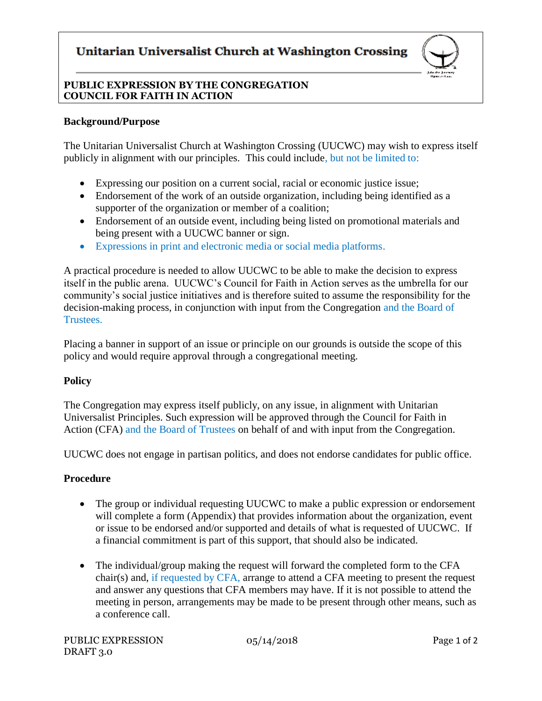# Unitarian Universalist Church at Washington Crossing



### **PUBLIC EXPRESSION BY THE CONGREGATION COUNCIL FOR FAITH IN ACTION**

#### **Background/Purpose**

The Unitarian Universalist Church at Washington Crossing (UUCWC) may wish to express itself publicly in alignment with our principles. This could include, but not be limited to:

- Expressing our position on a current social, racial or economic justice issue;
- Endorsement of the work of an outside organization, including being identified as a supporter of the organization or member of a coalition;
- Endorsement of an outside event, including being listed on promotional materials and being present with a UUCWC banner or sign.
- Expressions in print and electronic media or social media platforms.

A practical procedure is needed to allow UUCWC to be able to make the decision to express itself in the public arena. UUCWC's Council for Faith in Action serves as the umbrella for our community's social justice initiatives and is therefore suited to assume the responsibility for the decision-making process, in conjunction with input from the Congregation and the Board of Trustees.

Placing a banner in support of an issue or principle on our grounds is outside the scope of this policy and would require approval through a congregational meeting.

#### **Policy**

The Congregation may express itself publicly, on any issue, in alignment with Unitarian Universalist Principles. Such expression will be approved through the Council for Faith in Action (CFA) and the Board of Trustees on behalf of and with input from the Congregation.

UUCWC does not engage in partisan politics, and does not endorse candidates for public office.

#### **Procedure**

- The group or individual requesting UUCWC to make a public expression or endorsement will complete a form (Appendix) that provides information about the organization, event or issue to be endorsed and/or supported and details of what is requested of UUCWC. If a financial commitment is part of this support, that should also be indicated.
- The individual/group making the request will forward the completed form to the CFA chair(s) and, if requested by CFA, arrange to attend a CFA meeting to present the request and answer any questions that CFA members may have. If it is not possible to attend the meeting in person, arrangements may be made to be present through other means, such as a conference call.